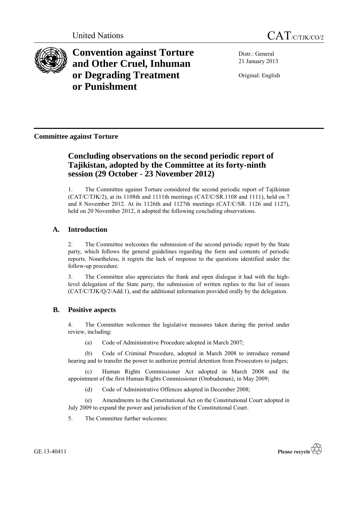



**Convention against Torture and Other Cruel, Inhuman or Degrading Treatment or Punishment**

Distr.: General 21 January 2013

Original: English

# **Committee against Torture**

# **Concluding observations on the second periodic report of Tajikistan, adopted by the Committee at its forty-ninth session (29 October - 23 November 2012)**

1. The Committee against Torture considered the second periodic report of Tajikistan (CAT/C/TJK/2), at its 1108th and 1111th meetings (CAT/C/SR.1108 and 1111), held on 7 and 8 November 2012. At its 1126th and 1127th meetings (CAT/C/SR. 1126 and 1127), held on 20 November 2012, it adopted the following concluding observations.

# **A. Introduction**

2. The Committee welcomes the submission of the second periodic report by the State party, which follows the general guidelines regarding the form and contents of periodic reports. Nonetheless, it regrets the lack of response to the questions identified under the follow-up procedure.

3. The Committee also appreciates the frank and open dialogue it had with the highlevel delegation of the State party, the submission of written replies to the list of issues (CAT/C/TJK/Q/2/Add.1), and the additional information provided orally by the delegation.

# **B. Positive aspects**

4. The Committee welcomes the legislative measures taken during the period under review, including:

(a) Code of Administrative Procedure adopted in March 2007;

(b) Code of Criminal Procedure, adopted in March 2008 to introduce remand hearing and to transfer the power to authorize pretrial detention from Prosecutors to judges;

(c) Human Rights Commissioner Act adopted in March 2008 and the appointment of the first Human Rights Commissioner (Ombudsman), in May 2009;

(d) Code of Administrative Offences adopted in December 2008;

(e) Amendments to the Constitutional Act on the Constitutional Court adopted in July 2009 to expand the power and jurisdiction of the Constitutional Court.

5. The Committee further welcomes: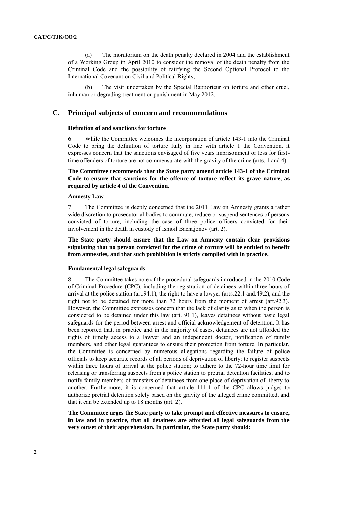(a) The moratorium on the death penalty declared in 2004 and the establishment of a Working Group in April 2010 to consider the removal of the death penalty from the Criminal Code and the possibility of ratifying the Second Optional Protocol to the International Covenant on Civil and Political Rights;

The visit undertaken by the Special Rapporteur on torture and other cruel, inhuman or degrading treatment or punishment in May 2012.

# **C. Principal subjects of concern and recommendations**

# **Definition of and sanctions for torture**

6. While the Committee welcomes the incorporation of article 143-1 into the Criminal Code to bring the definition of torture fully in line with article 1 the Convention, it expresses concern that the sanctions envisaged of five years imprisonment or less for firsttime offenders of torture are not commensurate with the gravity of the crime (arts. 1 and 4).

**The Committee recommends that the State party amend article 143-1 of the Criminal Code to ensure that sanctions for the offence of torture reflect its grave nature, as required by article 4 of the Convention.**

# **Amnesty Law**

7. The Committee is deeply concerned that the 2011 Law on Amnesty grants a rather wide discretion to prosecutorial bodies to commute, reduce or suspend sentences of persons convicted of torture, including the case of three police officers convicted for their involvement in the death in custody of Ismoil Bachajonov (art. 2).

**The State party should ensure that the Law on Amnesty contain clear provisions stipulating that no person convicted for the crime of torture will be entitled to benefit from amnesties, and that such prohibition is strictly complied with in practice.**

# **Fundamental legal safeguards**

8. The Committee takes note of the procedural safeguards introduced in the 2010 Code of Criminal Procedure (CPC), including the registration of detainees within three hours of arrival at the police station (art.94.1), the right to have a lawyer (arts.22.1 and.49.2), and the right not to be detained for more than 72 hours from the moment of arrest (art.92.3). However, the Committee expresses concern that the lack of clarity as to when the person is considered to be detained under this law (art. 91.1), leaves detainees without basic legal safeguards for the period between arrest and official acknowledgement of detention. It has been reported that, in practice and in the majority of cases, detainees are not afforded the rights of timely access to a lawyer and an independent doctor, notification of family members, and other legal guarantees to ensure their protection from torture. In particular, the Committee is concerned by numerous allegations regarding the failure of police officials to keep accurate records of all periods of deprivation of liberty; to register suspects within three hours of arrival at the police station; to adhere to the 72-hour time limit for releasing or transferring suspects from a police station to pretrial detention facilities; and to notify family members of transfers of detainees from one place of deprivation of liberty to another. Furthermore, it is concerned that article 111-1 of the CPC allows judges to authorize pretrial detention solely based on the gravity of the alleged crime committed, and that it can be extended up to 18 months (art. 2).

**The Committee urges the State party to take prompt and effective measures to ensure, in law and in practice, that all detainees are afforded all legal safeguards from the very outset of their apprehension. In particular, the State party should:**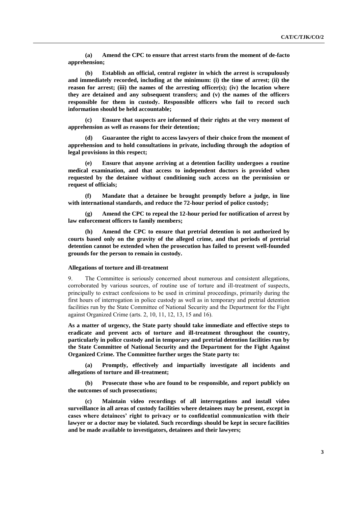**(a) Amend the CPC to ensure that arrest starts from the moment of de-facto apprehension;** 

**(b) Establish an official, central register in which the arrest is scrupulously and immediately recorded, including at the minimum: (i) the time of arrest; (ii) the reason for arrest; (iii) the names of the arresting officer(s); (iv) the location where they are detained and any subsequent transfers; and (v) the names of the officers responsible for them in custody. Responsible officers who fail to record such information should be held accountable;** 

**(c) Ensure that suspects are informed of their rights at the very moment of apprehension as well as reasons for their detention;** 

**(d) Guarantee the right to access lawyers of their choice from the moment of apprehension and to hold consultations in private, including through the adoption of legal provisions in this respect;** 

**(e) Ensure that anyone arriving at a detention facility undergoes a routine medical examination, and that access to independent doctors is provided when requested by the detainee without conditioning such access on the permission or request of officials;** 

**(f) Mandate that a detainee be brought promptly before a judge, in line with international standards, and reduce the 72-hour period of police custody;** 

**(g) Amend the CPC to repeal the 12-hour period for notification of arrest by law enforcement officers to family members;** 

**(h) Amend the CPC to ensure that pretrial detention is not authorized by courts based only on the gravity of the alleged crime, and that periods of pretrial detention cannot be extended when the prosecution has failed to present well-founded grounds for the person to remain in custody.** 

#### **Allegations of torture and ill-treatment**

9. The Committee is seriously concerned about numerous and consistent allegations, corroborated by various sources, of routine use of torture and ill-treatment of suspects, principally to extract confessions to be used in criminal proceedings, primarily during the first hours of interrogation in police custody as well as in temporary and pretrial detention facilities run by the State Committee of National Security and the Department for the Fight against Organized Crime (arts. 2, 10, 11, 12, 13, 15 and 16).

**As a matter of urgency, the State party should take immediate and effective steps to eradicate and prevent acts of torture and ill-treatment throughout the country, particularly in police custody and in temporary and pretrial detention facilities run by the State Committee of National Security and the Department for the Fight Against Organized Crime. The Committee further urges the State party to:** 

**(a) Promptly, effectively and impartially investigate all incidents and allegations of torture and ill-treatment;** 

**(b) Prosecute those who are found to be responsible, and report publicly on the outcomes of such prosecutions;** 

**(c) Maintain video recordings of all interrogations and install video surveillance in all areas of custody facilities where detainees may be present, except in cases where detainees' right to privacy or to confidential communication with their lawyer or a doctor may be violated. Such recordings should be kept in secure facilities and be made available to investigators, detainees and their lawyers;**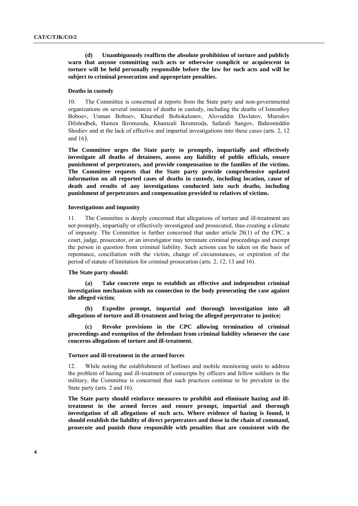**(d) Unambiguously reaffirm the absolute prohibition of torture and publicly warn that anyone committing such acts or otherwise complicit or acquiescent in torture will be held personally responsible before the law for such acts and will be subject to criminal prosecution and appropriate penalties.** 

#### **Deaths in custody**

10. The Committee is concerned at reports from the State party and non-governmental organizations on several instances of deaths in custody, including the deaths of Ismonboy Boboev, Usman Boboev, Khurshed Bobokalonov, Alovuddin Davlatov, Murodov Dilshodbek, Hamza Ikromzoda, Khamzali Ikromzoda, Safarali Sangov, Bahromiddin Shodiev and at the lack of effective and impartial investigations into these cases (arts. 2, 12 and 16).

**The Committee urges the State party to promptly, impartially and effectively investigate all deaths of detainees, assess any liability of public officials, ensure punishment of perpetrators, and provide compensation to the families of the victims. The Committee requests that the State party provide comprehensive updated information on all reported cases of deaths in custody, including location, cause of death and results of any investigations conducted into such deaths, including punishment of perpetrators and compensation provided to relatives of victims.**

# **Investigations and impunity**

11. The Committee is deeply concerned that allegations of torture and ill-treatment are not promptly, impartially or effectively investigated and prosecuted, thus creating a climate of impunity. The Committee is further concerned that under article 28(1) of the CPC, a court, judge, prosecutor, or an investigator may terminate criminal proceedings and exempt the person in question from criminal liability. Such actions can be taken on the basis of repentance, conciliation with the victim, change of circumstances, or expiration of the period of statute of limitation for criminal prosecution (arts. 2, 12, 13 and 16).

#### **The State party should:**

**(a) Take concrete steps to establish an effective and independent criminal investigation mechanism with no connection to the body prosecuting the case against the alleged victim;** 

**(b) Expedite prompt, impartial and thorough investigation into all allegations of torture and ill-treatment and bring the alleged perpetrator to justice;** 

**(c) Revoke provisions in the CPC allowing termination of criminal proceedings and exemption of the defendant from criminal liability whenever the case concerns allegations of torture and ill-treatment.**

# **Torture and ill-treatment in the armed forces**

12. While noting the establishment of hotlines and mobile monitoring units to address the problem of hazing and ill-treatment of conscripts by officers and fellow soldiers in the military, the Committee is concerned that such practices continue to be prevalent in the State party (arts. 2 and 16).

**The State party should reinforce measures to prohibit and eliminate hazing and illtreatment in the armed forces and ensure prompt, impartial and thorough investigation of all allegations of such acts. Where evidence of hazing is found, it should establish the liability of direct perpetrators and those in the chain of command, prosecute and punish those responsible with penalties that are consistent with the**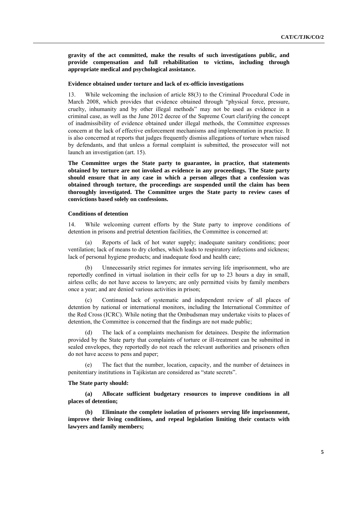**gravity of the act committed, make the results of such investigations public, and provide compensation and full rehabilitation to victims, including through appropriate medical and psychological assistance.** 

#### **Evidence obtained under torture and lack of ex-officio investigations**

13. While welcoming the inclusion of article 88(3) to the Criminal Procedural Code in March 2008, which provides that evidence obtained through "physical force, pressure, cruelty, inhumanity and by other illegal methods" may not be used as evidence in a criminal case, as well as the June 2012 decree of the Supreme Court clarifying the concept of inadmissibility of evidence obtained under illegal methods, the Committee expresses concern at the lack of effective enforcement mechanisms and implementation in practice. It is also concerned at reports that judges frequently dismiss allegations of torture when raised by defendants, and that unless a formal complaint is submitted, the prosecutor will not launch an investigation (art. 15).

**The Committee urges the State party to guarantee, in practice, that statements obtained by torture are not invoked as evidence in any proceedings. The State party should ensure that in any case in which a person alleges that a confession was obtained through torture, the proceedings are suspended until the claim has been thoroughly investigated. The Committee urges the State party to review cases of convictions based solely on confessions.**

# **Conditions of detention**

14. While welcoming current efforts by the State party to improve conditions of detention in prisons and pretrial detention facilities, the Committee is concerned at:

(a) Reports of lack of hot water supply; inadequate sanitary conditions; poor ventilation; lack of means to dry clothes, which leads to respiratory infections and sickness; lack of personal hygiene products; and inadequate food and health care;

(b) Unnecessarily strict regimes for inmates serving life imprisonment, who are reportedly confined in virtual isolation in their cells for up to 23 hours a day in small, airless cells; do not have access to lawyers; are only permitted visits by family members once a year; and are denied various activities in prison;

(c) Continued lack of systematic and independent review of all places of detention by national or international monitors, including the International Committee of the Red Cross (ICRC). While noting that the Ombudsman may undertake visits to places of detention, the Committee is concerned that the findings are not made public;

(d) The lack of a complaints mechanism for detainees. Despite the information provided by the State party that complaints of torture or ill-treatment can be submitted in sealed envelopes, they reportedly do not reach the relevant authorities and prisoners often do not have access to pens and paper;

(e) The fact that the number, location, capacity, and the number of detainees in penitentiary institutions in Tajikistan are considered as "state secrets".

### **The State party should:**

**(a) Allocate sufficient budgetary resources to improve conditions in all places of detention;** 

**(b) Eliminate the complete isolation of prisoners serving life imprisonment, improve their living conditions, and repeal legislation limiting their contacts with lawyers and family members;**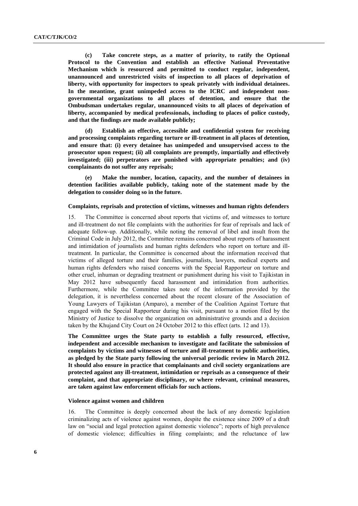**(c) Take concrete steps, as a matter of priority, to ratify the Optional Protocol to the Convention and establish an effective National Preventative Mechanism which is resourced and permitted to conduct regular, independent, unannounced and unrestricted visits of inspection to all places of deprivation of liberty, with opportunity for inspectors to speak privately with individual detainees. In the meantime, grant unimpeded access to the ICRC and independent nongovernmental organizations to all places of detention, and ensure that the Ombudsman undertakes regular, unannounced visits to all places of deprivation of liberty, accompanied by medical professionals, including to places of police custody, and that the findings are made available publicly;** 

**(d) Establish an effective, accessible and confidential system for receiving and processing complaints regarding torture or ill-treatment in all places of detention, and ensure that: (i) every detainee has unimpeded and unsupervised access to the prosecutor upon request; (ii) all complaints are promptly, impartially and effectively investigated; (iii) perpetrators are punished with appropriate penalties; and (iv) complainants do not suffer any reprisals;** 

**(e) Make the number, location, capacity, and the number of detainees in detention facilities available publicly, taking note of the statement made by the delegation to consider doing so in the future.** 

# **Complaints, reprisals and protection of victims, witnesses and human rights defenders**

15. The Committee is concerned about reports that victims of, and witnesses to torture and ill-treatment do not file complaints with the authorities for fear of reprisals and lack of adequate follow-up. Additionally, while noting the removal of libel and insult from the Criminal Code in July 2012, the Committee remains concerned about reports of harassment and intimidation of journalists and human rights defenders who report on torture and illtreatment. In particular, the Committee is concerned about the information received that victims of alleged torture and their families, journalists, lawyers, medical experts and human rights defenders who raised concerns with the Special Rapporteur on torture and other cruel, inhuman or degrading treatment or punishment during his visit to Tajikistan in May 2012 have subsequently faced harassment and intimidation from authorities. Furthermore, while the Committee takes note of the information provided by the delegation, it is nevertheless concerned about the recent closure of the Association of Young Lawyers of Tajikistan (Amparo), a member of the Coalition Against Torture that engaged with the Special Rapporteur during his visit, pursuant to a motion filed by the Ministry of Justice to dissolve the organization on administrative grounds and a decision taken by the Khujand City Court on 24 October 2012 to this effect (arts. 12 and 13).

**The Committee urges the State party to establish a fully resourced, effective, independent and accessible mechanism to investigate and facilitate the submission of complaints by victims and witnesses of torture and ill-treatment to public authorities, as pledged by the State party following the universal periodic review in March 2012. It should also ensure in practice that complainants and civil society organizations are protected against any ill-treatment, intimidation or reprisals as a consequence of their complaint, and that appropriate disciplinary, or where relevant, criminal measures, are taken against law enforcement officials for such actions.** 

### **Violence against women and children**

16. The Committee is deeply concerned about the lack of any domestic legislation criminalizing acts of violence against women, despite the existence since 2009 of a draft law on "social and legal protection against domestic violence"; reports of high prevalence of domestic violence; difficulties in filing complaints; and the reluctance of law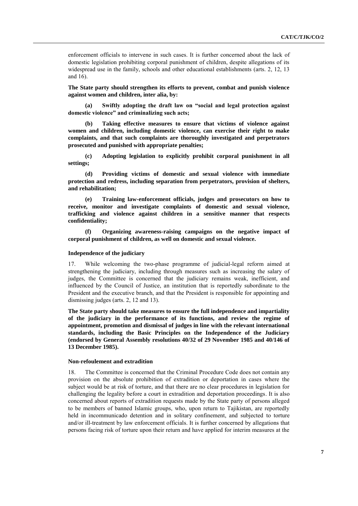enforcement officials to intervene in such cases. It is further concerned about the lack of domestic legislation prohibiting corporal punishment of children, despite allegations of its widespread use in the family, schools and other educational establishments (arts. 2, 12, 13 and 16).

**The State party should strengthen its efforts to prevent, combat and punish violence against women and children, inter alia, by:**

**(a) Swiftly adopting the draft law on "social and legal protection against domestic violence" and criminalizing such acts;** 

**(b) Taking effective measures to ensure that victims of violence against women and children, including domestic violence, can exercise their right to make complaints, and that such complaints are thoroughly investigated and perpetrators prosecuted and punished with appropriate penalties;**

**(c) Adopting legislation to explicitly prohibit corporal punishment in all settings;**

**(d) Providing victims of domestic and sexual violence with immediate protection and redress, including separation from perpetrators, provision of shelters, and rehabilitation;** 

**(e) Training law-enforcement officials, judges and prosecutors on how to receive, monitor and investigate complaints of domestic and sexual violence, trafficking and violence against children in a sensitive manner that respects confidentiality;** 

**(f) Organizing awareness-raising campaigns on the negative impact of corporal punishment of children, as well on domestic and sexual violence.**

# **Independence of the judiciary**

17. While welcoming the two-phase programme of judicial-legal reform aimed at strengthening the judiciary, including through measures such as increasing the salary of judges, the Committee is concerned that the judiciary remains weak, inefficient, and influenced by the Council of Justice, an institution that is reportedly subordinate to the President and the executive branch, and that the President is responsible for appointing and dismissing judges (arts. 2, 12 and 13).

**The State party should take measures to ensure the full independence and impartiality of the judiciary in the performance of its functions, and review the regime of appointment, promotion and dismissal of judges in line with the relevant international standards, including the Basic Principles on the Independence of the Judiciary (endorsed by General Assembly resolutions 40/32 of 29 November 1985 and 40/146 of 13 December 1985).** 

# **Non-refoulement and extradition**

18. The Committee is concerned that the Criminal Procedure Code does not contain any provision on the absolute prohibition of extradition or deportation in cases where the subject would be at risk of torture, and that there are no clear procedures in legislation for challenging the legality before a court in extradition and deportation proceedings. It is also concerned about reports of extradition requests made by the State party of persons alleged to be members of banned Islamic groups, who, upon return to Tajikistan, are reportedly held in incommunicado detention and in solitary confinement, and subjected to torture and/or ill-treatment by law enforcement officials. It is further concerned by allegations that persons facing risk of torture upon their return and have applied for interim measures at the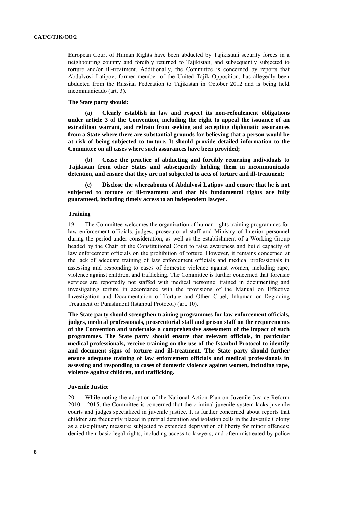European Court of Human Rights have been abducted by Tajikistani security forces in a neighbouring country and forcibly returned to Tajikistan, and subsequently subjected to torture and/or ill-treatment. Additionally, the Committee is concerned by reports that Abdulvosi Latipov, former member of the United Tajik Opposition, has allegedly been abducted from the Russian Federation to Tajikistan in October 2012 and is being held incommunicado (art. 3).

# **The State party should:**

**(a) Clearly establish in law and respect its non-refoulement obligations under article 3 of the Convention, including the right to appeal the issuance of an extradition warrant, and refrain from seeking and accepting diplomatic assurances from a State where there are substantial grounds for believing that a person would be at risk of being subjected to torture. It should provide detailed information to the Committee on all cases where such assurances have been provided;**

**(b) Cease the practice of abducting and forcibly returning individuals to Tajikistan from other States and subsequently holding them in incommunicado detention, and ensure that they are not subjected to acts of torture and ill-treatment;** 

**(c) Disclose the whereabouts of Abdulvosi Latipov and ensure that he is not subjected to torture or ill-treatment and that his fundamental rights are fully guaranteed, including timely access to an independent lawyer.** 

# **Training**

19. The Committee welcomes the organization of human rights training programmes for law enforcement officials, judges, prosecutorial staff and Ministry of Interior personnel during the period under consideration, as well as the establishment of a Working Group headed by the Chair of the Constitutional Court to raise awareness and build capacity of law enforcement officials on the prohibition of torture. However, it remains concerned at the lack of adequate training of law enforcement officials and medical professionals in assessing and responding to cases of domestic violence against women, including rape, violence against children, and trafficking. The Committee is further concerned that forensic services are reportedly not staffed with medical personnel trained in documenting and investigating torture in accordance with the provisions of the Manual on Effective Investigation and Documentation of Torture and Other Cruel, Inhuman or Degrading Treatment or Punishment (Istanbul Protocol) (art. 10).

**The State party should strengthen training programmes for law enforcement officials, judges, medical professionals, prosecutorial staff and prison staff on the requirements of the Convention and undertake a comprehensive assessment of the impact of such programmes. The State party should ensure that relevant officials, in particular medical professionals, receive training on the use of the Istanbul Protocol to identify and document signs of torture and ill-treatment. The State party should further ensure adequate training of law enforcement officials and medical professionals in assessing and responding to cases of domestic violence against women, including rape, violence against children, and trafficking.**

### **Juvenile Justice**

20. While noting the adoption of the National Action Plan on Juvenile Justice Reform  $2010 - 2015$ , the Committee is concerned that the criminal juvenile system lacks juvenile courts and judges specialized in juvenile justice. It is further concerned about reports that children are frequently placed in pretrial detention and isolation cells in the Juvenile Colony as a disciplinary measure; subjected to extended deprivation of liberty for minor offences; denied their basic legal rights, including access to lawyers; and often mistreated by police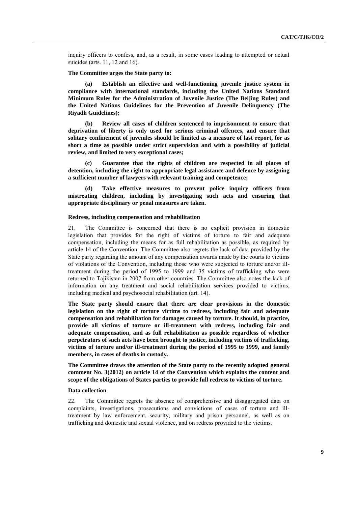inquiry officers to confess, and, as a result, in some cases leading to attempted or actual suicides (arts. 11, 12 and 16).

### **The Committee urges the State party to:**

**(a) Establish an effective and well-functioning juvenile justice system in compliance with international standards, including the United Nations Standard Minimum Rules for the Administration of Juvenile Justice (The Beijing Rules) and the United Nations Guidelines for the Prevention of Juvenile Delinquency (The Riyadh Guidelines);** 

**(b) Review all cases of children sentenced to imprisonment to ensure that deprivation of liberty is only used for serious criminal offences, and ensure that solitary confinement of juveniles should be limited as a measure of last report, for as short a time as possible under strict supervision and with a possibility of judicial review, and limited to very exceptional cases;** 

**(c) Guarantee that the rights of children are respected in all places of detention, including the right to appropriate legal assistance and defence by assigning a sufficient number of lawyers with relevant training and competence;** 

**(d) Take effective measures to prevent police inquiry officers from mistreating children, including by investigating such acts and ensuring that appropriate disciplinary or penal measures are taken.**

#### **Redress, including compensation and rehabilitation**

21. The Committee is concerned that there is no explicit provision in domestic legislation that provides for the right of victims of torture to fair and adequate compensation, including the means for as full rehabilitation as possible, as required by article 14 of the Convention. The Committee also regrets the lack of data provided by the State party regarding the amount of any compensation awards made by the courts to victims of violations of the Convention, including those who were subjected to torture and/or illtreatment during the period of 1995 to 1999 and 35 victims of trafficking who were returned to Tajikistan in 2007 from other countries. The Committee also notes the lack of information on any treatment and social rehabilitation services provided to victims, including medical and psychosocial rehabilitation (art. 14).

**The State party should ensure that there are clear provisions in the domestic legislation on the right of torture victims to redress, including fair and adequate compensation and rehabilitation for damages caused by torture. It should, in practice, provide all victims of torture or ill-treatment with redress, including fair and adequate compensation, and as full rehabilitation as possible regardless of whether perpetrators of such acts have been brought to justice, including victims of trafficking, victims of torture and/or ill-treatment during the period of 1995 to 1999, and family members, in cases of deaths in custody.** 

**The Committee draws the attention of the State party to the recently adopted general comment No. 3(2012) on article 14 of the Convention which explains the content and scope of the obligations of States parties to provide full redress to victims of torture.**

### **Data collection**

22. The Committee regrets the absence of comprehensive and disaggregated data on complaints, investigations, prosecutions and convictions of cases of torture and illtreatment by law enforcement, security, military and prison personnel, as well as on trafficking and domestic and sexual violence, and on redress provided to the victims.